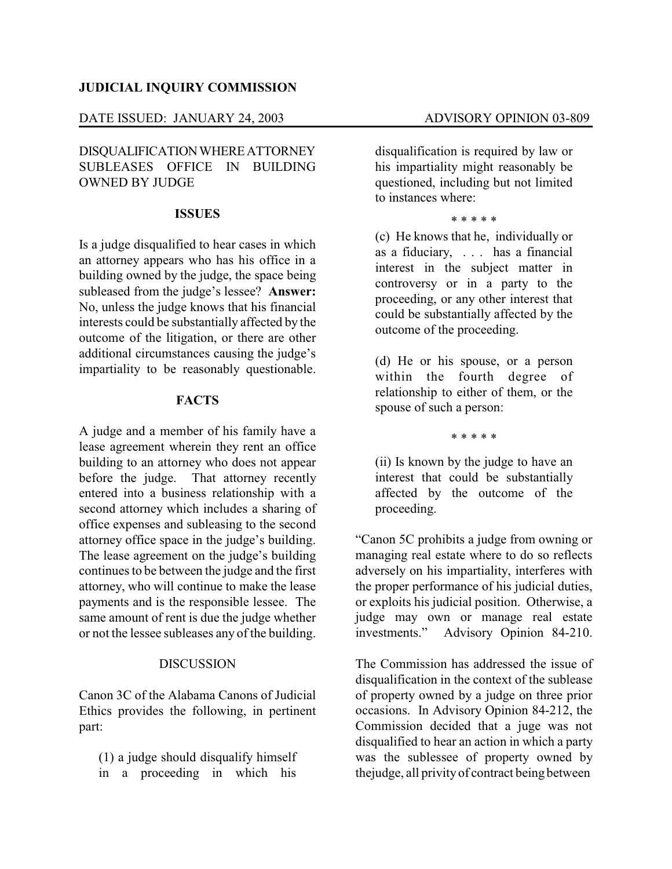### **JUDICIAL INQUIRY COMMISSION**

#### DATE ISSUED: JANUARY 24, 2003 ADVISORY OPINION 03-809

# DISQUALIFICATIONWHEREATTORNEY SUBLEASES OFFICE IN BUILDING OWNED BY JUDGE

## **ISSUES**

Is a judge disqualified to hear cases in which an attorney appears who has his office in a building owned by the judge, the space being subleased from the judge's lessee? **Answer:** No, unless the judge knows that his financial interests could be substantially affected by the outcome of the litigation, or there are other additional circumstances causing the judge's impartiality to be reasonably questionable.

### **FACTS**

A judge and a member of his family have a lease agreement wherein they rent an office building to an attorney who does not appear before the judge. That attorney recently entered into a business relationship with a second attorney which includes a sharing of office expenses and subleasing to the second attorney office space in the judge's building. The lease agreement on the judge's building continues to be between the judge and the first attorney, who will continue to make the lease payments and is the responsible lessee. The same amount of rent is due the judge whether or not the lessee subleases any of the building.

#### **DISCUSSION**

Canon 3C of the Alabama Canons of Judicial Ethics provides the following, in pertinent part:

(1) a judge should disqualify himself in a proceeding in which his

disqualification is required by law or his impartiality might reasonably be questioned, including but not limited to instances where:

#### \* \* \* \* \*

(c) He knows that he, individually or as a fiduciary, . . . has a financial interest in the subject matter in controversy or in a party to the proceeding, or any other interest that could be substantially affected by the outcome of the proceeding.

(d) He or his spouse, or a person within the fourth degree of relationship to either of them, or the spouse of such a person:

\* \* \* \* \*

(ii) Is known by the judge to have an interest that could be substantially affected by the outcome of the proceeding.

"Canon 5C prohibits a judge from owning or managing real estate where to do so reflects adversely on his impartiality, interferes with the proper performance of his judicial duties, or exploits his judicial position. Otherwise, a judge may own or manage real estate investments." Advisory Opinion 84-210.

The Commission has addressed the issue of disqualification in the context of the sublease of property owned by a judge on three prior occasions. In Advisory Opinion 84-212, the Commission decided that a juge was not disqualified to hear an action in which a party was the sublessee of property owned by thejudge, all privity of contract being between